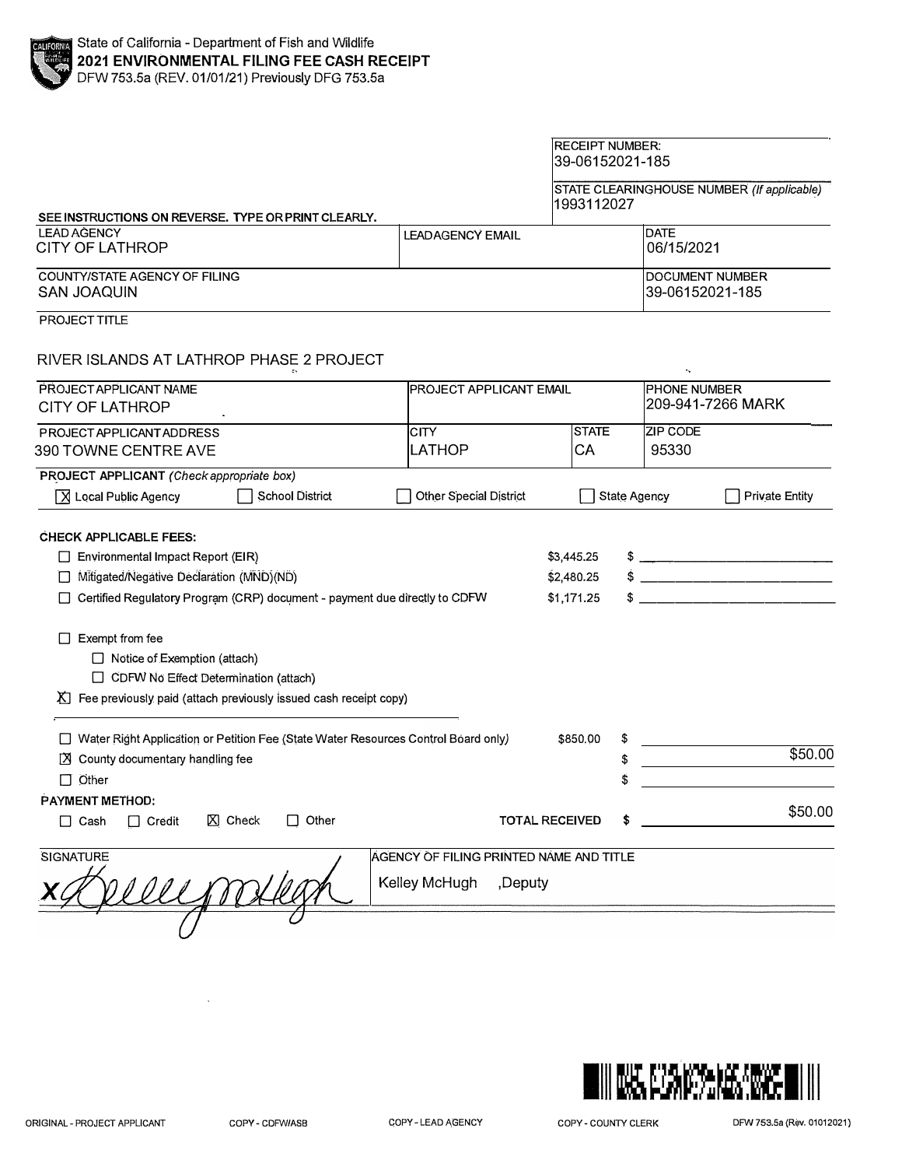## RECEIPT NUMBER: 39-06152021-185

STATE CLEARIN�HOUSE NUMBER *(If applicable)* 1993112027

 $\hat{\mathbf{q}}$ 

| SEE INSTRUCTIONS ON REVERSE. TYPE OR PRINT CLEARLY. |                         |  |                                            |
|-----------------------------------------------------|-------------------------|--|--------------------------------------------|
| <b>LEAD AGENCY</b><br>CITY OF LATHROP               | <b>LEADAGENCY EMAIL</b> |  | <b>IDATE</b><br>06/15/2021                 |
| COUNTY/STATE AGENCY OF FILING<br>SAN JOAQUIN        |                         |  | <b>IDOCUMENT NUMBER</b><br>39-06152021-185 |
| ---------                                           |                         |  |                                            |

PROJECT TITLE

| PROJECT APPLICANT NAME                                                                                  |                                                                                    |                                         | <b>PROJECT APPLICANT EMAIL</b> |                     | <b>PHONE NUMBER</b><br>209-941-7266 MARK |  |
|---------------------------------------------------------------------------------------------------------|------------------------------------------------------------------------------------|-----------------------------------------|--------------------------------|---------------------|------------------------------------------|--|
| <b>CITY OF LATHROP</b>                                                                                  |                                                                                    |                                         |                                |                     |                                          |  |
| PROJECT APPLICANT ADDRESS                                                                               |                                                                                    | <b>CITY</b>                             | <b>STATE</b>                   | <b>ZIP CODE</b>     |                                          |  |
| 390 TOWNE CENTRE AVE                                                                                    |                                                                                    | <b>LATHOP</b>                           | CA                             | 95330               |                                          |  |
| PROJECT APPLICANT (Check appropriate box)                                                               |                                                                                    |                                         |                                |                     |                                          |  |
| X Local Public Agency                                                                                   | <b>School District</b>                                                             | <b>Other Special District</b>           |                                | <b>State Agency</b> | <b>Private Entity</b>                    |  |
| <b>CHECK APPLICABLE FEES:</b>                                                                           |                                                                                    |                                         |                                |                     |                                          |  |
| Environmental Impact Report (EIR)                                                                       |                                                                                    |                                         | \$3,445.25                     |                     | $\frac{1}{2}$                            |  |
| Mitigated/Negative Declaration (MND)(ND)                                                                |                                                                                    | \$2,480.25                              |                                |                     |                                          |  |
| Certified Regulatory Program (CRP) document - payment due directly to CDFW                              |                                                                                    |                                         | \$1,171.25                     |                     |                                          |  |
| Exempt from fee<br>$\Box$ Notice of Exemption (attach)<br>□ CDFW No Effect Determination (attach)<br>XТ | Fee previously paid (attach previously issued cash receipt copy)                   |                                         |                                |                     |                                          |  |
|                                                                                                         | Water Right Application or Petition Fee (State Water Resources Control Board only) |                                         | \$850.00                       |                     |                                          |  |
| County documentary handling fee<br>ГX                                                                   |                                                                                    |                                         | \$                             | \$50.00             |                                          |  |
| Other<br>П                                                                                              |                                                                                    |                                         |                                | \$                  |                                          |  |
| <b>PAYMENT METHOD:</b>                                                                                  |                                                                                    |                                         |                                |                     | \$50.00                                  |  |
| $\Box$ Cash<br>$\Box$ Credit                                                                            | $X$ Check<br>Other<br>П                                                            |                                         | <b>TOTAL RECEIVED</b>          | \$                  |                                          |  |
| <b>SIGNATURE</b>                                                                                        |                                                                                    | AGENCY OF FILING PRINTED NAME AND TITLE |                                |                     |                                          |  |
|                                                                                                         |                                                                                    | Kelley McHugh<br>,Deputy                |                                |                     |                                          |  |
|                                                                                                         |                                                                                    |                                         |                                |                     |                                          |  |



 $\iint$